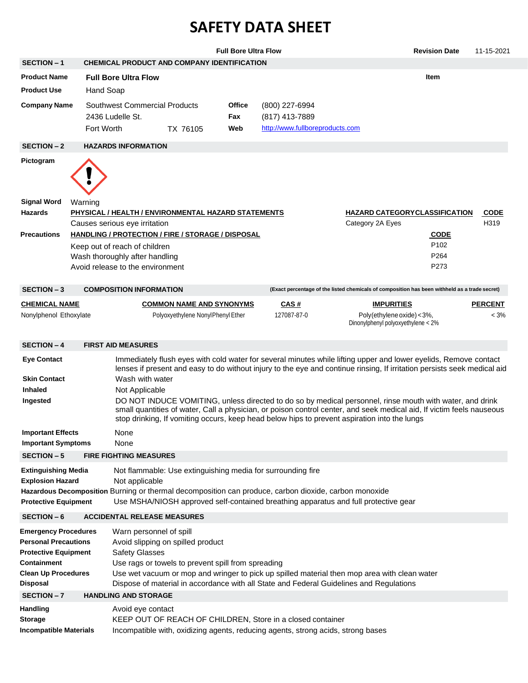## **SAFETY DATA SHEET**

|                                                                                                                                                           |            |                                                   |                                                                                         | <b>Full Bore Ultra Flow</b> |                                                                                                                                                |                                                                                                                                                                                                                                                                                                                                                                                                                                                                                                                                                                                   | <b>Revision Date</b> | 11-15-2021                |
|-----------------------------------------------------------------------------------------------------------------------------------------------------------|------------|---------------------------------------------------|-----------------------------------------------------------------------------------------|-----------------------------|------------------------------------------------------------------------------------------------------------------------------------------------|-----------------------------------------------------------------------------------------------------------------------------------------------------------------------------------------------------------------------------------------------------------------------------------------------------------------------------------------------------------------------------------------------------------------------------------------------------------------------------------------------------------------------------------------------------------------------------------|----------------------|---------------------------|
| <b>SECTION - 1</b>                                                                                                                                        |            |                                                   | CHEMICAL PRODUCT AND COMPANY IDENTIFICATION                                             |                             |                                                                                                                                                |                                                                                                                                                                                                                                                                                                                                                                                                                                                                                                                                                                                   |                      |                           |
| <b>Product Name</b>                                                                                                                                       |            | <b>Full Bore Ultra Flow</b>                       |                                                                                         |                             |                                                                                                                                                |                                                                                                                                                                                                                                                                                                                                                                                                                                                                                                                                                                                   | <b>Item</b>          |                           |
| <b>Product Use</b>                                                                                                                                        | Hand Soap  |                                                   |                                                                                         |                             |                                                                                                                                                |                                                                                                                                                                                                                                                                                                                                                                                                                                                                                                                                                                                   |                      |                           |
| <b>Company Name</b>                                                                                                                                       | Fort Worth | Southwest Commercial Products<br>2436 Ludelle St. | TX 76105                                                                                | Office<br>Fax<br>Web        | (800) 227-6994<br>(817) 413-7889<br>http://www.fullboreproducts.com                                                                            |                                                                                                                                                                                                                                                                                                                                                                                                                                                                                                                                                                                   |                      |                           |
| <b>SECTION - 2</b>                                                                                                                                        |            | <b>HAZARDS INFORMATION</b>                        |                                                                                         |                             |                                                                                                                                                |                                                                                                                                                                                                                                                                                                                                                                                                                                                                                                                                                                                   |                      |                           |
| Pictogram                                                                                                                                                 |            |                                                   |                                                                                         |                             |                                                                                                                                                |                                                                                                                                                                                                                                                                                                                                                                                                                                                                                                                                                                                   |                      |                           |
| Signal Word                                                                                                                                               | Warning    |                                                   |                                                                                         |                             |                                                                                                                                                |                                                                                                                                                                                                                                                                                                                                                                                                                                                                                                                                                                                   |                      |                           |
| Hazards                                                                                                                                                   |            | Causes serious eye irritation                     | <b>PHYSICAL / HEALTH / ENVIRONMENTAL HAZARD STATEMENTS</b>                              |                             |                                                                                                                                                | <b>HAZARD CATEGORYCLASSIFICATION</b><br>Category 2A Eyes                                                                                                                                                                                                                                                                                                                                                                                                                                                                                                                          |                      | <b>CODE</b><br>H319       |
| <b>Precautions</b>                                                                                                                                        |            |                                                   | HANDLING / PROTECTION / FIRE / STORAGE / DISPOSAL                                       |                             |                                                                                                                                                |                                                                                                                                                                                                                                                                                                                                                                                                                                                                                                                                                                                   | <b>CODE</b>          |                           |
|                                                                                                                                                           |            | Keep out of reach of children                     |                                                                                         |                             |                                                                                                                                                |                                                                                                                                                                                                                                                                                                                                                                                                                                                                                                                                                                                   | P <sub>102</sub>     |                           |
|                                                                                                                                                           |            | Wash thoroughly after handling                    |                                                                                         |                             |                                                                                                                                                |                                                                                                                                                                                                                                                                                                                                                                                                                                                                                                                                                                                   | P <sub>264</sub>     |                           |
|                                                                                                                                                           |            | Avoid release to the environment                  |                                                                                         |                             |                                                                                                                                                |                                                                                                                                                                                                                                                                                                                                                                                                                                                                                                                                                                                   | P273                 |                           |
| <b>SECTION - 3</b>                                                                                                                                        |            | <b>COMPOSITION INFORMATION</b>                    |                                                                                         |                             |                                                                                                                                                | (Exact percentage of the listed chemicals of composition has been withheld as a trade secret)                                                                                                                                                                                                                                                                                                                                                                                                                                                                                     |                      |                           |
| <b>CHEMICAL NAME</b><br>Nonylphenol Ethoxylate                                                                                                            |            |                                                   | <b>COMMON NAME AND SYNONYMS</b><br>Polyoxyethylene NonylPhenyl Ether                    |                             | <u>CAS #</u><br>127087-87-0                                                                                                                    | <u>IMPURITIES</u><br>Poly(ethylene oxide) < 3%,<br>Dinonylphenyl polyoxyethylene < 2%                                                                                                                                                                                                                                                                                                                                                                                                                                                                                             |                      | <b>PERCENT</b><br>$< 3\%$ |
| <b>SECTION - 4</b>                                                                                                                                        |            | <b>FIRST AID MEASURES</b>                         |                                                                                         |                             |                                                                                                                                                |                                                                                                                                                                                                                                                                                                                                                                                                                                                                                                                                                                                   |                      |                           |
| <b>Eye Contact</b><br><b>Skin Contact</b><br><b>Inhaled</b><br>Ingested                                                                                   |            | Wash with water<br>Not Applicable                 |                                                                                         |                             |                                                                                                                                                | Immediately flush eyes with cold water for several minutes while lifting upper and lower eyelids, Remove contact<br>lenses if present and easy to do without injury to the eye and continue rinsing, If irritation persists seek medical aid<br>DO NOT INDUCE VOMITING, unless directed to do so by medical personnel, rinse mouth with water, and drink<br>small quantities of water, Call a physician, or poison control center, and seek medical aid, If victim feels nauseous<br>stop drinking, If vomiting occurs, keep head below hips to prevent aspiration into the lungs |                      |                           |
| <b>Important Effects</b>                                                                                                                                  |            | None                                              |                                                                                         |                             |                                                                                                                                                |                                                                                                                                                                                                                                                                                                                                                                                                                                                                                                                                                                                   |                      |                           |
| <b>Important Symptoms</b>                                                                                                                                 |            | None                                              |                                                                                         |                             |                                                                                                                                                |                                                                                                                                                                                                                                                                                                                                                                                                                                                                                                                                                                                   |                      |                           |
| <b>SECTION - 5</b>                                                                                                                                        |            | <b>FIRE FIGHTING MEASURES</b>                     |                                                                                         |                             |                                                                                                                                                |                                                                                                                                                                                                                                                                                                                                                                                                                                                                                                                                                                                   |                      |                           |
| <b>Extinguishing Media</b><br><b>Explosion Hazard</b><br><b>Protective Equipment</b>                                                                      |            | Not applicable                                    | Not flammable: Use extinguishing media for surrounding fire                             |                             | Hazardous Decomposition Burning or thermal decomposition can produce, carbon dioxide, carbon monoxide                                          | Use MSHA/NIOSH approved self-contained breathing apparatus and full protective gear                                                                                                                                                                                                                                                                                                                                                                                                                                                                                               |                      |                           |
| SECTION-6                                                                                                                                                 |            | <b>ACCIDENTAL RELEASE MEASURES</b>                |                                                                                         |                             |                                                                                                                                                |                                                                                                                                                                                                                                                                                                                                                                                                                                                                                                                                                                                   |                      |                           |
| <b>Emergency Procedures</b><br><b>Personal Precautions</b><br><b>Protective Equipment</b><br>Containment<br><b>Clean Up Procedures</b><br><b>Disposal</b> |            | Warn personnel of spill<br><b>Safety Glasses</b>  | Avoid slipping on spilled product<br>Use rags or towels to prevent spill from spreading |                             |                                                                                                                                                | Use wet vacuum or mop and wringer to pick up spilled material then mop area with clean water<br>Dispose of material in accordance with all State and Federal Guidelines and Regulations                                                                                                                                                                                                                                                                                                                                                                                           |                      |                           |
| SECTION-7                                                                                                                                                 |            | <b>HANDLING AND STORAGE</b>                       |                                                                                         |                             |                                                                                                                                                |                                                                                                                                                                                                                                                                                                                                                                                                                                                                                                                                                                                   |                      |                           |
| <b>Handling</b><br><b>Storage</b><br><b>Incompatible Materials</b>                                                                                        |            | Avoid eye contact                                 |                                                                                         |                             | KEEP OUT OF REACH OF CHILDREN, Store in a closed container<br>Incompatible with, oxidizing agents, reducing agents, strong acids, strong bases |                                                                                                                                                                                                                                                                                                                                                                                                                                                                                                                                                                                   |                      |                           |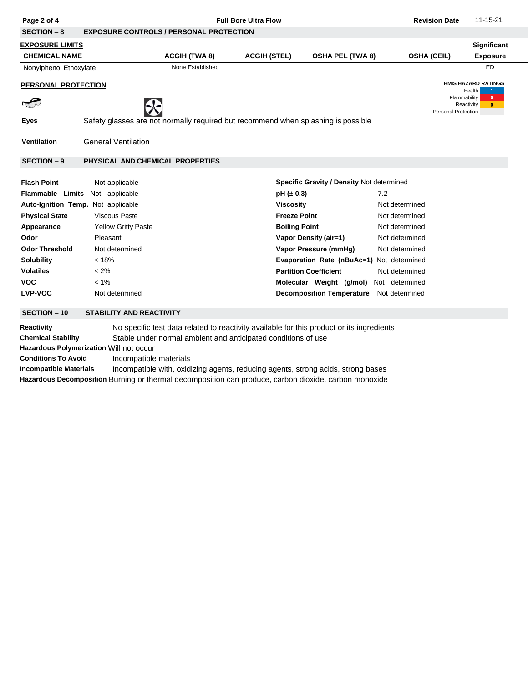| Page 2 of 4                                                                                                                                                                                                                                                                                              |                                                   | <b>Full Bore Ultra Flow</b>                                                                                                                                                               | <b>Revision Date</b> | 11-15-21                                         |                    |        |                                  |  |  |
|----------------------------------------------------------------------------------------------------------------------------------------------------------------------------------------------------------------------------------------------------------------------------------------------------------|---------------------------------------------------|-------------------------------------------------------------------------------------------------------------------------------------------------------------------------------------------|----------------------|--------------------------------------------------|--------------------|--------|----------------------------------|--|--|
| <b>SECTION - 8</b>                                                                                                                                                                                                                                                                                       | <b>EXPOSURE CONTROLS / PERSONAL PROTECTION</b>    |                                                                                                                                                                                           |                      |                                                  |                    |        |                                  |  |  |
| <u>EXPOSURE LIMITS</u>                                                                                                                                                                                                                                                                                   |                                                   |                                                                                                                                                                                           |                      |                                                  |                    |        | Significant                      |  |  |
| <b>CHEMICAL NAME</b>                                                                                                                                                                                                                                                                                     |                                                   | <b>ACGIH (TWA 8)</b>                                                                                                                                                                      | <b>ACGIH (STEL)</b>  | <b>OSHA PEL (TWA 8)</b>                          | <b>OSHA (CEIL)</b> |        | <b>Exposure</b>                  |  |  |
| Nonylphenol Ethoxylate                                                                                                                                                                                                                                                                                   |                                                   | None Established                                                                                                                                                                          |                      |                                                  |                    |        | ED                               |  |  |
| PERSONAL PROTECTION                                                                                                                                                                                                                                                                                      |                                                   |                                                                                                                                                                                           |                      |                                                  |                    | Health | <b>HMIS HAZARD RATINGS</b><br>-1 |  |  |
| $\sqrt{\frac{2}{\pi}}$                                                                                                                                                                                                                                                                                   | Flammability<br>Reactivity<br>Personal Protection |                                                                                                                                                                                           |                      |                                                  |                    |        |                                  |  |  |
| <b>Eyes</b>                                                                                                                                                                                                                                                                                              |                                                   | Safety glasses are not normally required but recommend when splashing is possible                                                                                                         |                      |                                                  |                    |        |                                  |  |  |
| <b>Ventilation</b>                                                                                                                                                                                                                                                                                       | <b>General Ventilation</b>                        |                                                                                                                                                                                           |                      |                                                  |                    |        |                                  |  |  |
| <b>SECTION - 9</b>                                                                                                                                                                                                                                                                                       | PHYSICAL AND CHEMICAL PROPERTIES                  |                                                                                                                                                                                           |                      |                                                  |                    |        |                                  |  |  |
| <b>Flash Point</b>                                                                                                                                                                                                                                                                                       | Not applicable                                    |                                                                                                                                                                                           |                      | <b>Specific Gravity / Density Not determined</b> |                    |        |                                  |  |  |
| <b>Flammable Limits</b>                                                                                                                                                                                                                                                                                  | Not applicable                                    |                                                                                                                                                                                           | $pH (\pm 0.3)$       |                                                  | 7.2                |        |                                  |  |  |
| Auto-Ignition Temp. Not applicable                                                                                                                                                                                                                                                                       |                                                   |                                                                                                                                                                                           |                      | <b>Viscosity</b><br>Not determined               |                    |        |                                  |  |  |
| <b>Physical State</b>                                                                                                                                                                                                                                                                                    | <b>Viscous Paste</b>                              |                                                                                                                                                                                           | <b>Freeze Point</b>  |                                                  | Not determined     |        |                                  |  |  |
| Appearance                                                                                                                                                                                                                                                                                               | <b>Yellow Gritty Paste</b>                        |                                                                                                                                                                                           | <b>Boiling Point</b> |                                                  | Not determined     |        |                                  |  |  |
| Odor                                                                                                                                                                                                                                                                                                     | Pleasant                                          |                                                                                                                                                                                           |                      | <b>Vapor Density (air=1)</b>                     | Not determined     |        |                                  |  |  |
| <b>Odor Threshold</b>                                                                                                                                                                                                                                                                                    | Not determined                                    |                                                                                                                                                                                           |                      | Vapor Pressure (mmHg)                            | Not determined     |        |                                  |  |  |
| <b>Solubility</b>                                                                                                                                                                                                                                                                                        | < 18%                                             |                                                                                                                                                                                           |                      | Evaporation Rate (nBuAc=1) Not determined        |                    |        |                                  |  |  |
| <b>Volatiles</b>                                                                                                                                                                                                                                                                                         | $< 2\%$                                           |                                                                                                                                                                                           |                      | <b>Partition Coefficient</b>                     | Not determined     |        |                                  |  |  |
| <b>VOC</b>                                                                                                                                                                                                                                                                                               | $< 1\%$                                           |                                                                                                                                                                                           |                      | Molecular Weight (g/mol)                         | Not determined     |        |                                  |  |  |
| <b>LVP-VOC</b>                                                                                                                                                                                                                                                                                           | Not determined                                    |                                                                                                                                                                                           |                      | <b>Decomposition Temperature</b>                 | Not determined     |        |                                  |  |  |
| <b>SECTION - 10</b>                                                                                                                                                                                                                                                                                      | <b>STABILITY AND REACTIVITY</b>                   |                                                                                                                                                                                           |                      |                                                  |                    |        |                                  |  |  |
| Reactivity<br>No specific test data related to reactivity available for this product or its ingredients<br><b>Chemical Stability</b><br>Stable under normal ambient and anticipated conditions of use<br>Hazardous Polymerization Will not occur<br><b>Conditions To Avoid</b><br>Incompatible materials |                                                   |                                                                                                                                                                                           |                      |                                                  |                    |        |                                  |  |  |
| <b>Incompatible Materials</b>                                                                                                                                                                                                                                                                            |                                                   | Incompatible with, oxidizing agents, reducing agents, strong acids, strong bases<br>Hazardous Decomposition Burning or thermal decomposition can produce, carbon dioxide, carbon monoxide |                      |                                                  |                    |        |                                  |  |  |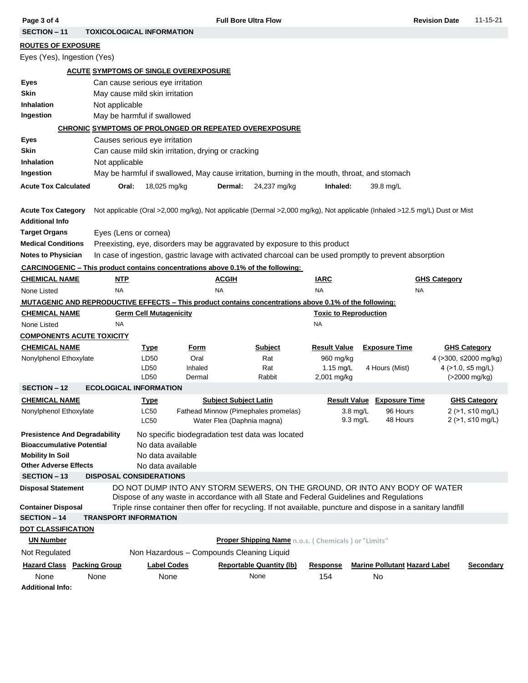| Page 3 of 4                                                              | <b>Full Bore Ultra Flow</b>                  |                                                                                                               |                                                                                                                                                                         |                                                     |                                          |                                      |                       | 11-15-21                                                 |  |  |  |  |
|--------------------------------------------------------------------------|----------------------------------------------|---------------------------------------------------------------------------------------------------------------|-------------------------------------------------------------------------------------------------------------------------------------------------------------------------|-----------------------------------------------------|------------------------------------------|--------------------------------------|-----------------------|----------------------------------------------------------|--|--|--|--|
| <b>SECTION - 11</b><br><b>TOXICOLOGICAL INFORMATION</b>                  |                                              |                                                                                                               |                                                                                                                                                                         |                                                     |                                          |                                      |                       |                                                          |  |  |  |  |
| <b>ROUTES OF EXPOSURE</b>                                                |                                              |                                                                                                               |                                                                                                                                                                         |                                                     |                                          |                                      |                       |                                                          |  |  |  |  |
| Eyes (Yes), Ingestion (Yes)                                              |                                              |                                                                                                               |                                                                                                                                                                         |                                                     |                                          |                                      |                       |                                                          |  |  |  |  |
|                                                                          | <b>ACUTE SYMPTOMS OF SINGLE OVEREXPOSURE</b> |                                                                                                               |                                                                                                                                                                         |                                                     |                                          |                                      |                       |                                                          |  |  |  |  |
| Eyes                                                                     | Can cause serious eye irritation             |                                                                                                               |                                                                                                                                                                         |                                                     |                                          |                                      |                       |                                                          |  |  |  |  |
| <b>Skin</b>                                                              |                                              | May cause mild skin irritation                                                                                |                                                                                                                                                                         |                                                     |                                          |                                      |                       |                                                          |  |  |  |  |
| <b>Inhalation</b>                                                        | Not applicable                               |                                                                                                               |                                                                                                                                                                         |                                                     |                                          |                                      |                       |                                                          |  |  |  |  |
| Ingestion<br>May be harmful if swallowed                                 |                                              |                                                                                                               |                                                                                                                                                                         |                                                     |                                          |                                      |                       |                                                          |  |  |  |  |
| <b>CHRONIC SYMPTOMS OF PROLONGED OR REPEATED OVEREXPOSURE</b>            |                                              |                                                                                                               |                                                                                                                                                                         |                                                     |                                          |                                      |                       |                                                          |  |  |  |  |
| <b>Eyes</b>                                                              | Causes serious eye irritation                |                                                                                                               |                                                                                                                                                                         |                                                     |                                          |                                      |                       |                                                          |  |  |  |  |
| <b>Skin</b>                                                              |                                              | Can cause mild skin irritation, drying or cracking                                                            |                                                                                                                                                                         |                                                     |                                          |                                      |                       |                                                          |  |  |  |  |
| Inhalation                                                               | Not applicable                               |                                                                                                               |                                                                                                                                                                         |                                                     |                                          |                                      |                       |                                                          |  |  |  |  |
| Ingestion                                                                |                                              |                                                                                                               | May be harmful if swallowed, May cause irritation, burning in the mouth, throat, and stomach                                                                            |                                                     |                                          |                                      |                       |                                                          |  |  |  |  |
| <b>Acute Tox Calculated</b>                                              | Oral:                                        | 18,025 mg/kg                                                                                                  | Dermal:                                                                                                                                                                 | 24,237 mg/kg                                        | Inhaled:                                 | 39.8 mg/L                            |                       |                                                          |  |  |  |  |
|                                                                          |                                              |                                                                                                               |                                                                                                                                                                         |                                                     |                                          |                                      |                       |                                                          |  |  |  |  |
| <b>Acute Tox Category</b>                                                |                                              |                                                                                                               | Not applicable (Oral >2,000 mg/kg), Not applicable (Dermal >2,000 mg/kg), Not applicable (Inhaled >12.5 mg/L) Dust or Mist                                              |                                                     |                                          |                                      |                       |                                                          |  |  |  |  |
| <b>Additional Info</b>                                                   |                                              |                                                                                                               |                                                                                                                                                                         |                                                     |                                          |                                      |                       |                                                          |  |  |  |  |
| <b>Target Organs</b>                                                     | Eyes (Lens or cornea)                        |                                                                                                               |                                                                                                                                                                         |                                                     |                                          |                                      |                       |                                                          |  |  |  |  |
| <b>Medical Conditions</b>                                                |                                              |                                                                                                               | Preexisting, eye, disorders may be aggravated by exposure to this product                                                                                               |                                                     |                                          |                                      |                       |                                                          |  |  |  |  |
| <b>Notes to Physician</b>                                                |                                              |                                                                                                               | In case of ingestion, gastric lavage with activated charcoal can be used promptly to prevent absorption                                                                 |                                                     |                                          |                                      |                       |                                                          |  |  |  |  |
|                                                                          |                                              |                                                                                                               | <b>CARCINOGENIC – This product contains concentrations above 0.1% of the following:</b>                                                                                 |                                                     |                                          |                                      |                       |                                                          |  |  |  |  |
| <b>CHEMICAL NAME</b>                                                     | <b>NTP</b>                                   |                                                                                                               | <b>ACGIH</b>                                                                                                                                                            | <b>IARC</b>                                         |                                          |                                      | <b>GHS Category</b>   |                                                          |  |  |  |  |
| None Listed                                                              | <b>NA</b>                                    |                                                                                                               | <b>NA</b>                                                                                                                                                               | <b>NA</b>                                           |                                          | <b>NA</b>                            |                       |                                                          |  |  |  |  |
|                                                                          |                                              | <b>MUTAGENIC AND REPRODUCTIVE EFFECTS - This product contains concentrations above 0.1% of the following:</b> |                                                                                                                                                                         |                                                     |                                          |                                      |                       |                                                          |  |  |  |  |
| <b>Germ Cell Mutagenicity</b><br><b>Toxic to Reproduction</b>            |                                              |                                                                                                               |                                                                                                                                                                         |                                                     |                                          |                                      |                       |                                                          |  |  |  |  |
| <b>CHEMICAL NAME</b>                                                     |                                              |                                                                                                               |                                                                                                                                                                         |                                                     |                                          |                                      |                       |                                                          |  |  |  |  |
| None Listed                                                              | NA                                           |                                                                                                               |                                                                                                                                                                         | <b>NA</b>                                           |                                          |                                      |                       |                                                          |  |  |  |  |
| <b>COMPONENTS ACUTE TOXICITY</b>                                         |                                              |                                                                                                               |                                                                                                                                                                         |                                                     |                                          |                                      |                       |                                                          |  |  |  |  |
| <b>CHEMICAL NAME</b>                                                     |                                              | <u>Type</u><br>Form                                                                                           | Subject                                                                                                                                                                 | <b>Result Value</b>                                 |                                          | <b>Exposure Time</b>                 | <b>GHS Category</b>   |                                                          |  |  |  |  |
| Nonylphenol Ethoxylate                                                   |                                              | LD <sub>50</sub><br>Oral                                                                                      | Rat                                                                                                                                                                     |                                                     | 960 mg/kg                                |                                      | 4 (>300, ≤2000 mg/kg) |                                                          |  |  |  |  |
|                                                                          |                                              | LD50<br>Inhaled                                                                                               | Rat                                                                                                                                                                     |                                                     | $1.15$ mg/L                              | 4 Hours (Mist)                       | 4 (>1.0, ≤5 mg/L)     |                                                          |  |  |  |  |
|                                                                          |                                              | LD50<br>Dermal                                                                                                | Rabbit                                                                                                                                                                  |                                                     | 2,001 mg/kg                              |                                      | (>2000 mg/kg)         |                                                          |  |  |  |  |
| <b>SECTION - 12</b>                                                      | <b>ECOLOGICAL INFORMATION</b>                |                                                                                                               |                                                                                                                                                                         |                                                     |                                          |                                      |                       |                                                          |  |  |  |  |
| <b>CHEMICAL NAME</b>                                                     |                                              | <b>Type</b>                                                                                                   | <b>Subject Subject Latin</b>                                                                                                                                            |                                                     |                                          | <b>Result Value Exposure Time</b>    |                       | <b>GHS Category</b>                                      |  |  |  |  |
| Nonylphenol Ethoxylate                                                   |                                              | LC50<br><b>LC50</b>                                                                                           | Fathead Minnow (Pimephales promelas)<br>Water Flea (Daphnia magna)                                                                                                      |                                                     | $3.8 \text{ mg/L}$<br>$9.3 \text{ mg/L}$ | 96 Hours<br>48 Hours                 |                       | $2$ ( $>1$ , $\leq$ 10 mg/L)<br>$2$ (>1, $\leq$ 10 mg/L) |  |  |  |  |
|                                                                          |                                              |                                                                                                               |                                                                                                                                                                         |                                                     |                                          |                                      |                       |                                                          |  |  |  |  |
| <b>Presistence And Degradability</b><br><b>Bioaccumulative Potential</b> |                                              | No data available                                                                                             | No specific biodegradation test data was located                                                                                                                        |                                                     |                                          |                                      |                       |                                                          |  |  |  |  |
| <b>Mobility In Soil</b>                                                  |                                              | No data available                                                                                             |                                                                                                                                                                         |                                                     |                                          |                                      |                       |                                                          |  |  |  |  |
| <b>Other Adverse Effects</b>                                             |                                              | No data available                                                                                             |                                                                                                                                                                         |                                                     |                                          |                                      |                       |                                                          |  |  |  |  |
| <b>SECTION - 13</b>                                                      |                                              | <b>DISPOSAL CONSIDERATIONS</b>                                                                                |                                                                                                                                                                         |                                                     |                                          |                                      |                       |                                                          |  |  |  |  |
| <b>Disposal Statement</b>                                                |                                              |                                                                                                               | DO NOT DUMP INTO ANY STORM SEWERS, ON THE GROUND, OR INTO ANY BODY OF WATER<br>Dispose of any waste in accordance with all State and Federal Guidelines and Regulations |                                                     |                                          |                                      |                       |                                                          |  |  |  |  |
| <b>Container Disposal</b>                                                |                                              |                                                                                                               | Triple rinse container then offer for recycling. If not available, puncture and dispose in a sanitary landfill                                                          |                                                     |                                          |                                      |                       |                                                          |  |  |  |  |
| <b>SECTION - 14</b>                                                      | <b>TRANSPORT INFORMATION</b>                 |                                                                                                               |                                                                                                                                                                         |                                                     |                                          |                                      |                       |                                                          |  |  |  |  |
| <b>DOT CLASSIFICATION</b>                                                |                                              |                                                                                                               |                                                                                                                                                                         |                                                     |                                          |                                      |                       |                                                          |  |  |  |  |
| <b>UN Number</b>                                                         |                                              |                                                                                                               |                                                                                                                                                                         | Proper Shipping Name n.o.s. (Chemicals) or "Limits" |                                          |                                      |                       |                                                          |  |  |  |  |
| Not Regulated                                                            |                                              |                                                                                                               | Non Hazardous - Compounds Cleaning Liquid                                                                                                                               |                                                     |                                          |                                      |                       |                                                          |  |  |  |  |
| <b>Hazard Class Packing Group</b>                                        |                                              | <b>Label Codes</b>                                                                                            | <b>Reportable Quantity (lb)</b>                                                                                                                                         | Response                                            |                                          | <b>Marine Pollutant Hazard Label</b> |                       | <b>Secondary</b>                                         |  |  |  |  |
| None<br><b>Additional Info:</b>                                          | None                                         | None                                                                                                          | None                                                                                                                                                                    | 154                                                 |                                          | No                                   |                       |                                                          |  |  |  |  |